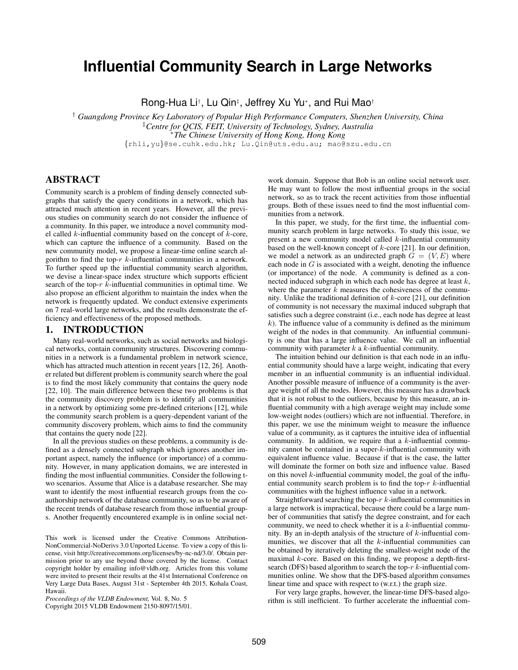# **Influential Community Search in Large Networks**

Rong-Hua Li*†* , Lu Qin*‡* , Jeffrey Xu Yu*<sup>∗</sup>* , and Rui Mao*†*

*† Guangdong Province Key Laboratory of Popular High Performance Computers, Shenzhen University, China ‡Centre for QCIS, FEIT, University of Technology, Sydney, Australia <sup>∗</sup>The Chinese University of Hong Kong, Hong Kong {*rhli,yu*}*@se.cuhk.edu.hk; Lu.Qin@uts.edu.au; mao@szu.edu.cn

ABSTRACT

Community search is a problem of finding densely connected subgraphs that satisfy the query conditions in a network, which has attracted much attention in recent years. However, all the previous studies on community search do not consider the influence of a community. In this paper, we introduce a novel community model called *k*-influential community based on the concept of *k*-core, which can capture the influence of a community. Based on the new community model, we propose a linear-time online search algorithm to find the top-*r k*-influential communities in a network. To further speed up the influential community search algorithm, we devise a linear-space index structure which supports efficient search of the top-*r k*-influential communities in optimal time. We also propose an efficient algorithm to maintain the index when the network is frequently updated. We conduct extensive experiments on 7 real-world large networks, and the results demonstrate the efficiency and effectiveness of the proposed methods.

### 1. INTRODUCTION

Many real-world networks, such as social networks and biological networks, contain community structures. Discovering communities in a network is a fundamental problem in network science, which has attracted much attention in recent years [12, 26]. Another related but different problem is community search where the goal is to find the most likely community that contains the query node [22, 10]. The main difference between these two problems is that the community discovery problem is to identify all communities in a network by optimizing some pre-defined criterions [12], while the community search problem is a query-dependent variant of the community discovery problem, which aims to find the community that contains the query node [22].

In all the previous studies on these problems, a community is defined as a densely connected subgraph which ignores another important aspect, namely the influence (or importance) of a community. However, in many application domains, we are interested in finding the most influential communities. Consider the following two scenarios. Assume that Alice is a database researcher. She may want to identify the most influential research groups from the coauthorship network of the database community, so as to be aware of the recent trends of database research from those influential groups. Another frequently encountered example is in online social net-

This work is licensed under the Creative Commons Attribution-NonCommercial-NoDerivs 3.0 Unported License. To view a copy of this license, visit http://creativecommons.org/licenses/by-nc-nd/3.0/. Obtain permission prior to any use beyond those covered by the license. Contact copyright holder by emailing info@vldb.org. Articles from this volume were invited to present their results at the 41st International Conference on Very Large Data Bases, August 31st - September 4th 2015, Kohala Coast, Hawaii.

*Proceedings of the VLDB Endowment,* Vol. 8, No. 5

Copyright 2015 VLDB Endowment 2150-8097/15/01.

work domain. Suppose that Bob is an online social network user. He may want to follow the most influential groups in the social network, so as to track the recent activities from those influential groups. Both of these issues need to find the most influential communities from a network.

In this paper, we study, for the first time, the influential community search problem in large networks. To study this issue, we present a new community model called *k*-influential community based on the well-known concept of *k*-core [21]. In our definition, we model a network as an undirected graph  $G = (V, E)$  where each node in *G* is associated with a weight, denoting the influence (or importance) of the node. A community is defined as a connected induced subgraph in which each node has degree at least *k*, where the parameter *k* measures the cohesiveness of the community. Unlike the traditional definition of *k*-core [21], our definition of community is not necessary the maximal induced subgraph that satisfies such a degree constraint (i.e., each node has degree at least *k*). The influence value of a community is defined as the minimum weight of the nodes in that community. An influential community is one that has a large influence value. We call an influential community with parameter *k* a *k*-influential community.

The intuition behind our definition is that each node in an influential community should have a large weight, indicating that every member in an influential community is an influential individual. Another possible measure of influence of a community is the average weight of all the nodes. However, this measure has a drawback that it is not robust to the outliers, because by this measure, an influential community with a high average weight may include some low-weight nodes (outliers) which are not influential. Therefore, in this paper, we use the minimum weight to measure the influence value of a community, as it captures the intuitive idea of influential community. In addition, we require that a *k*-influential community cannot be contained in a super-*k*-influential community with equivalent influence value. Because if that is the case, the latter will dominate the former on both size and influence value. Based on this novel *k*-influential community model, the goal of the influential community search problem is to find the top-*r k*-influential communities with the highest influence value in a network.

Straightforward searching the top-*r k*-influential communities in a large network is impractical, because there could be a large number of communities that satisfy the degree constraint, and for each community, we need to check whether it is a *k*-influential community. By an in-depth analysis of the structure of *k*-influential communities, we discover that all the *k*-influential communities can be obtained by iteratively deleting the smallest-weight node of the maximal *k*-core. Based on this finding, we propose a depth-firstsearch (DFS) based algorithm to search the top-*r k*-influential communities online. We show that the DFS-based algorithm consumes linear time and space with respect to (w.r.t.) the graph size.

For very large graphs, however, the linear-time DFS-based algorithm is still inefficient. To further accelerate the influential com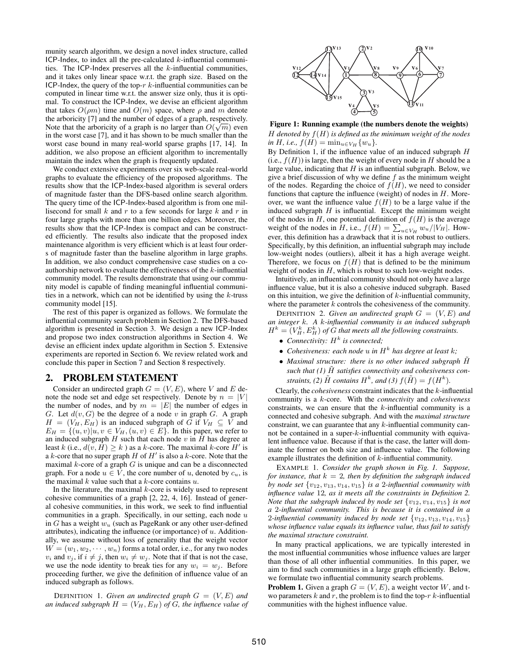munity search algorithm, we design a novel index structure, called ICP-Index, to index all the pre-calculated *k*-influential communities. The ICP-Index preserves all the *k*-influential communities, and it takes only linear space w.r.t. the graph size. Based on the ICP-Index, the query of the top-*r k*-influential communities can be computed in linear time w.r.t. the answer size only, thus it is optimal. To construct the ICP-Index, we devise an efficient algorithm that takes  $O(\rho m)$  time and  $O(m)$  space, where  $\rho$  and  $m$  denote the arboricity [7] and the number of edges of a graph, respectively. *√* Note that the arboricity of a graph is no larger than  $O(\sqrt{m})$  even in the worst case [7], and it has shown to be much smaller than the worst case bound in many real-world sparse graphs [17, 14]. In addition, we also propose an efficient algorithm to incrementally maintain the index when the graph is frequently updated.

We conduct extensive experiments over six web-scale real-world graphs to evaluate the efficiency of the proposed algorithms. The results show that the ICP-Index-based algorithm is several orders of magnitude faster than the DFS-based online search algorithm. The query time of the ICP-Index-based algorithm is from one millisecond for small *k* and *r* to a few seconds for large *k* and *r* in four large graphs with more than one billion edges. Moreover, the results show that the ICP-Index is compact and can be constructed efficiently. The results also indicate that the proposed index maintenance algorithm is very efficient which is at least four orders of magnitude faster than the baseline algorithm in large graphs. In addition, we also conduct comprehensive case studies on a coauthorship network to evaluate the effectiveness of the *k*-influential community model. The results demonstrate that using our community model is capable of finding meaningful influential communities in a network, which can not be identified by using the *k*-truss community model [15].

The rest of this paper is organized as follows. We formulate the influential community search problem in Section 2. The DFS-based algorithm is presented in Section 3. We design a new ICP-Index and propose two index construction algorithms in Section 4. We devise an efficient index update algorithm in Section 5. Extensive experiments are reported in Section 6. We review related work and conclude this paper in Section 7 and Section 8 respectively.

#### 2. PROBLEM STATEMENT

Consider an undirected graph  $G = (V, E)$ , where V and E denote the node set and edge set respectively. Denote by  $n = |V|$ the number of nodes, and by  $m = |E|$  the number of edges in *G*. Let  $d(v, G)$  be the degree of a node *v* in graph *G*. A graph  $H = (V_H, E_H)$  is an induced subgraph of *G* if  $V_H \subseteq V$  and  $E_H = \{(u, v) | u, v \in V_H, (u, v) \in E\}$ . In this paper, we refer to an induced subgraph *H* such that each node *v* in *H* has degree at least *k* (i.e.,  $d(v, H) \geq k$ ) as a *k*-core. The maximal *k*-core *H'* is a *k*-core that no super graph *H* of *H′* is also a *k*-core. Note that the maximal *k*-core of a graph *G* is unique and can be a disconnected graph. For a node  $u \in V$ , the core number of *u*, denoted by  $c_u$ , is the maximal *k* value such that a *k*-core contains *u*.

In the literature, the maximal *k*-core is widely used to represent cohesive communities of a graph [2, 22, 4, 16]. Instead of general cohesive communities, in this work, we seek to find influential communities in a graph. Specifically, in our setting, each node *u* in *G* has a weight *w<sup>u</sup>* (such as PageRank or any other user-defined attributes), indicating the influence (or importance) of *u*. Additionally, we assume without loss of generality that the weight vector  $W = (w_1, w_2, \dots, w_n)$  forms a total order, i.e., for any two nodes *v<sub>i</sub>* and *v<sub>j</sub>*, if  $i \neq j$ , then  $w_i \neq w_j$ . Note that if that is not the case, we use the node identity to break ties for any  $w_i = w_j$ . Before proceeding further, we give the definition of influence value of an induced subgraph as follows.

**DEFINITION** 1. *Given an undirected graph*  $G = (V, E)$  *and an induced subgraph*  $H = (V_H, E_H)$  *of G, the influence value of* 



Figure 1: Running example (the numbers denote the weights) *H denoted by f*(*H*) *is defined as the minimum weight of the nodes*  $in H$ *, i.e.,*  $f(H) = \min_{u \in V_H} \{w_u\}$ .

By Definition 1, if the influence value of an induced subgraph *H* (i.e.,  $f(H)$ ) is large, then the weight of every node in *H* should be a large value, indicating that *H* is an influential subgraph. Below, we give a brief discussion of why we define *f* as the minimum weight of the nodes. Regarding the choice of  $f(H)$ , we need to consider functions that capture the influence (weight) of nodes in *H*. Moreover, we want the influence value  $f(H)$  to be a large value if the induced subgraph *H* is influential. Except the minimum weight of the nodes in  $H$ , one potential definition of  $f(H)$  is the average weight of the nodes in  $\hat{H}$ , i.e.,  $f(H) = \sum_{u \in V_H} w_u / |V_H|$ . However, this definition has a drawback that it is not robust to outliers. Specifically, by this definition, an influential subgraph may include low-weight nodes (outliers), albeit it has a high average weight. Therefore, we focus on  $f(H)$  that is defined to be the minimum weight of nodes in *H*, which is robust to such low-weight nodes.

Intuitively, an influential community should not only have a large influence value, but it is also a cohesive induced subgraph. Based on this intuition, we give the definition of *k*-influential community, where the parameter *k* controls the cohesiveness of the community.

**DEFINITION** 2. *Given an undirected graph*  $G = (V, E)$  *and an integer k. A k-influential community is an induced subgraph*  $H^k = (V_H^k, E_H^k)$  *of G that meets all the following constraints.* 

- *• Connectivity: H<sup>k</sup> is connected;*
- *• Cohesiveness: each node u in H<sup>k</sup> has degree at least k;*
- *Maximal structure: there is no other induced subgraph*  $\tilde{H}$ such that (1)  $\tilde{H}$  satisfies connectivity and cohesiveness con*straints, (2)*  $\tilde{H}$  *contains*  $H^k$ *, and (3)*  $f(\tilde{H}) = f(H^k)$ *.*

Clearly, the *cohesiveness* constraint indicates that the *k*-influential community is a *k*-core. With the *connectivity* and *cohesiveness* constraints, we can ensure that the *k*-influential community is a connected and cohesive subgraph. And with the *maximal structure* constraint, we can guarantee that any *k*-influential community cannot be contained in a super-*k*-influential community with equivalent influence value. Because if that is the case, the latter will dominate the former on both size and influence value. The following example illustrates the definition of *k*-influential community.

EXAMPLE 1. *Consider the graph shown in Fig. 1. Suppose, for instance, that*  $k = 2$ *, then by definition the subgraph induced by node set*  $\{v_{12}, v_{13}, v_{14}, v_{15}\}$  *is a 2-influential community with influence value* 12*, as it meets all the constraints in Definition 2. Note that the subgraph induced by node set*  $\{v_{12}, v_{14}, v_{15}\}$  *is not a* 2*-influential community. This is because it is contained in a* 2-influential community induced by node set  $\{v_{12}, v_{13}, v_{14}, v_{15}\}$ *whose influence value equals its influence value, thus fail to satisfy the maximal structure constraint.*

In many practical applications, we are typically interested in the most influential communities whose influence values are larger than those of all other influential communities. In this paper, we aim to find such communities in a large graph efficiently. Below, we formulate two influential community search problems.

**Problem 1.** Given a graph  $G = (V, E)$ , a weight vector W, and two parameters *k* and *r*, the problem is to find the top-*r k*-influential communities with the highest influence value.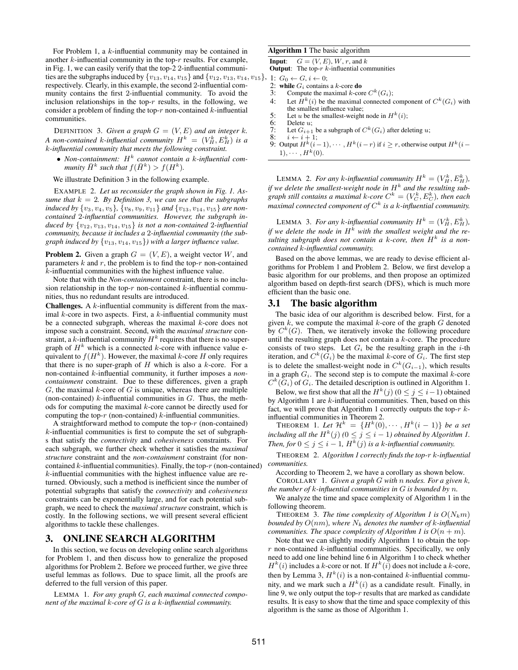For Problem 1, a *k*-influential community may be contained in another *k*-influential community in the top-*r* results. For example, in Fig. 1, we can easily verify that the top-2 2-influential communities are the subgraphs induced by *{v*13*, v*14*, v*15*}* and *{v*12*, v*13*, v*14*, v*15*}*, respectively. Clearly, in this example, the second 2-influential community contains the first 2-influential community. To avoid the inclusion relationships in the top-*r* results, in the following, we consider a problem of finding the top-*r* non-contained *k*-influential communities.

**DEFINITION** 3. Given a graph  $G = (V, E)$  and an integer  $k$ . *A* non-contained *k*-influential community  $H^k = (V_H^k, E_H^k)$  is a *k-influential community that meets the following constraint.*

*• Non-containment: H<sup>k</sup> cannot contain a k-influential community*  $\overline{H}^k$  *such that*  $f(\overline{H}^k) > f(H^k)$ *.* 

We illustrate Definition 3 in the following example.

EXAMPLE 2. *Let us reconsider the graph shown in Fig. 1. Assume that k* = 2*. By Definition 3, we can see that the subgraphs induced by*  $\{v_3, v_4, v_5\}$ ,  $\{v_8, v_9, v_{11}\}$  *and*  $\{v_{13}, v_{14}, v_{15}\}$  *are noncontained* 2*-influential communities. However, the subgraph induced by*  $\{v_{12}, v_{13}, v_{14}, v_{15}\}$  *is not a non-contained* 2-*influential community, because it includes a* 2*-influential community (the subgraph induced by*  $\{v_{13}, v_{14}, v_{15}\}$ *) with a larger influence value.* 

**Problem 2.** Given a graph  $G = (V, E)$ , a weight vector W, and parameters *k* and *r*, the problem is to find the top-*r* non-contained *k*-influential communities with the highest influence value.

Note that with the *Non-containment* constraint, there is no inclusion relationship in the top-*r* non-contained *k*-influential communities, thus no redundant results are introduced.

Challenges. A *k*-influential community is different from the maximal *k*-core in two aspects. First, a *k*-influential community must be a connected subgraph, whereas the maximal *k*-core does not impose such a constraint. Second, with the *maximal structure* constraint, a *k*-influential community  $H^k$  requires that there is no supergraph of  $H^k$  which is a connected *k*-core with influence value equivalent to  $f(H^k)$ . However, the maximal *k*-core *H* only requires that there is no super-graph of *H* which is also a *k*-core. For a non-contained *k*-influential community, it further imposes a *noncontainment* constraint. Due to these differences, given a graph *G*, the maximal *k*-core of *G* is unique, whereas there are multiple (non-contained) *k*-influential communities in *G*. Thus, the methods for computing the maximal *k*-core cannot be directly used for computing the top-*r* (non-contained) *k*-influential communities.

A straightforward method to compute the top-*r* (non-contained) *k*-influential communities is first to compute the set of subgraphs that satisfy the *connectivity* and *cohesiveness* constraints. For each subgraph, we further check whether it satisfies the *maximal structure* constraint and the *non-containment* constraint (for noncontained *k*-influential communities). Finally, the top-*r* (non-contained) *k*-influential communities with the highest influence value are returned. Obviously, such a method is inefficient since the number of potential subgraphs that satisfy the *connectivity* and *cohesiveness* constraints can be exponentially large, and for each potential subgraph, we need to check the *maximal structure* constraint, which is costly. In the following sections, we will present several efficient algorithms to tackle these challenges.

#### 3. ONLINE SEARCH ALGORITHM

In this section, we focus on developing online search algorithms for Problem 1, and then discuss how to generalize the proposed algorithms for Problem 2. Before we proceed further, we give three useful lemmas as follows. Due to space limit, all the proofs are deferred to the full version of this paper.

LEMMA 1. *For any graph G, each maximal connected component of the maximal k-core of G is a k-influential community.*

#### Algorithm 1 The basic algorithm

**Input:**  $G = (V, E), W, r$ , and  $k$ 

Output: The top-*r k*-influential communities

- 1:  $G_0 \leftarrow G, i \leftarrow 0;$
- 2: while  $G_i$  contains a *k*-core **do**<br>3: Compute the maximal *k*-cor
- 3: Compute the maximal *k*-core  $C^k(G_i)$ ;<br>4: Let  $H^k(i)$  be the maximal connected  $\alpha$
- Let  $H^k(i)$  be the maximal connected component of  $C^k(G_i)$  with the smallest influence value;
- 5: Let *u* be the smallest-weight node in  $H^k(i)$ ;<br>6: Delete *u*;
- 6: Delete *u*;<br>7: Let  $G_{i+1}$ Let  $G_{i+1}$  be a subgraph of  $C^k(G_i)$  after deleting *u*;
- $i \leftarrow i + 1;$
- 
- 9: Output  $H^k(i-1), \cdots, H^k(i-r)$  if  $i \geq r$ , otherwise output  $H^k(i-1)$  $1), \cdots, H^k(0).$

LEMMA 2. *For any k-influential community*  $H^k = (V_H^k, E_H^k)$ , *if we delete the smallest-weight node in H<sup>k</sup> and the resulting subgraph still contains a maximal k-core*  $C^k = (V_C^k, E_C^k)$ , then each *maximal connected component of C k is a k-influential community.*

LEMMA 3. *For any k-influential community*  $H^k = (V_H^k, E_H^k)$ , *if we delete the node in H<sup>k</sup> with the smallest weight and the resulting subgraph does not contain a k-core, then H<sup>k</sup> is a noncontained k-influential community.*

Based on the above lemmas, we are ready to devise efficient algorithms for Problem 1 and Problem 2. Below, we first develop a basic algorithm for our problems, and then propose an optimized algorithm based on depth-first search (DFS), which is much more efficient than the basic one.

#### 3.1 The basic algorithm

The basic idea of our algorithm is described below. First, for a given *k*, we compute the maximal *k*-core of the graph *G* denoted by  $C^k(G)$ . Then, we iteratively invoke the following procedure until the resulting graph does not contain a *k*-core. The procedure consists of two steps. Let  $G_i$  be the resulting graph in the *i*-th iteration, and  $C^k(\hat{G}_i)$  be the maximal *k*-core of  $\tilde{G}_i$ . The first step is to delete the smallest-weight node in  $C^k(G_{i-1})$ , which results in a graph *Gi*. The second step is to compute the maximal *k*-core  $C^k(G_i)$  of  $G_i$ . The detailed description is outlined in Algorithm 1.

Below, we first show that all the  $H^k(j)$  ( $0 \leq j \leq i-1$ ) obtained by Algorithm 1 are *k*-influential communities. Then, based on this fact, we will prove that Algorithm 1 correctly outputs the top-*r k*-

influential communities in Theorem 2.<br>THEOREM 1. Let  $\mathcal{H}^k = \{H^k(0), \dots, H^k(i-1)\}$  be a set *including all the*  $H^k(j)$  ( $0 \leq j \leq i-1$ ) *obtained by Algorithm 1. Then, for*  $0 \leq j \leq i - 1$ ,  $H^k(j)$  *is a k-influential community.* 

THEOREM 2. *Algorithm 1 correctly finds the top-r k-influential communities.*

According to Theorem 2, we have a corollary as shown below. COROLLARY 1. *Given a graph G with n nodes. For a given k,*

*the number of k-influential communities in G is bounded by n.*

We analyze the time and space complexity of Algorithm 1 in the following theorem.

**THEOREM** 3. *The time complexity of Algorithm 1 is*  $O(N_k m)$ *bounded by*  $O(nm)$ *, where*  $N_k$  *denotes the number of*  $k$ *-influential communities. The space complexity of Algorithm 1 is*  $O(n + m)$ *.* 

Note that we can slightly modify Algorithm 1 to obtain the top*r* non-contained *k*-influential communities. Specifically, we only need to add one line behind line 6 in Algorithm 1 to check whether  $H^k(i)$  includes a *k*-core or not. If  $H^k(i)$  does not include a *k*-core, then by Lemma 3,  $H^k(i)$  is a non-contained *k*-influential community, and we mark such a  $H^k(i)$  as a candidate result. Finally, in line 9, we only output the top-*r* results that are marked as candidate results. It is easy to show that the time and space complexity of this algorithm is the same as those of Algorithm 1.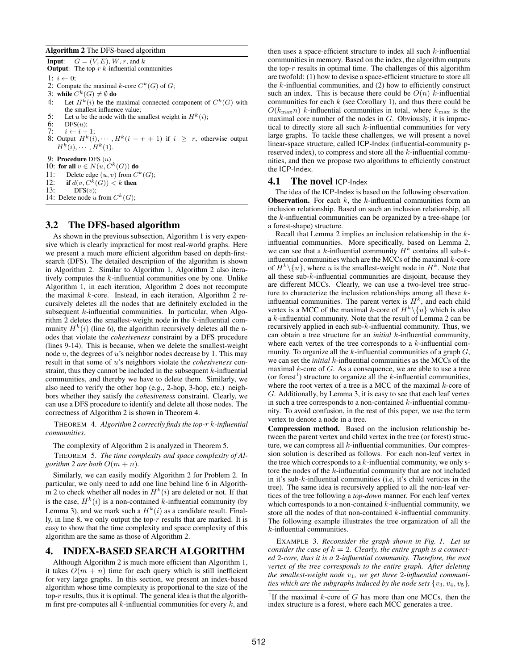#### Algorithm 2 The DFS-based algorithm

**Input:**  $G = (V, E), W, r$ , and  $k$ Output: The top-*r k*-influential communities 1: *i ←* 0; 2: Compute the maximal *k*-core  $C^k(G)$  of *G*; 3: while  $C^k(G) \neq \emptyset$  do 4: Let  $H^k(i)$  be the maximal connected component of  $C^k(G)$  with the smallest influence value; 5: Let *u* be the node with the smallest weight in  $H^k(i)$ ;<br>6: DES(*u*): 6: DFS(*u*);<br>7:  $i \leftarrow i +$  $i \leftarrow i + 1;$ 8: Output  $H^k(i), \cdots, H^k(i - r + 1)$  if  $i \geq r$ , otherwise output  $H^{k}(i), \cdots, H^{k}(1)$ . 9: Procedure DFS (*u*) 10: for all  $v \in N(u, C^k(G))$  do 11: Delete edge  $(u, v)$  from  $C^k(G)$ ; 12: if  $d(v, C^k(G)) < k$  then<br>13: DFS(*v*):  $\overrightarrow{DFS}(v)$ ; 14: Delete node  $u$  from  $C^k(G)$ ;

### 3.2 The DFS-based algorithm

As shown in the previous subsection, Algorithm 1 is very expensive which is clearly impractical for most real-world graphs. Here we present a much more efficient algorithm based on depth-firstsearch (DFS). The detailed description of the algorithm is shown in Algorithm 2. Similar to Algorithm 1, Algorithm 2 also iteratively computes the *k*-influential communities one by one. Unlike Algorithm 1, in each iteration, Algorithm 2 does not recompute the maximal *k*-core. Instead, in each iteration, Algorithm 2 recursively deletes all the nodes that are definitely excluded in the subsequent *k*-influential communities. In particular, when Algorithm 2 deletes the smallest-weight node in the *k*-influential community  $H^k(i)$  (line 6), the algorithm recursively deletes all the nodes that violate the *cohesiveness* constraint by a DFS procedure (lines 9-14). This is because, when we delete the smallest-weight node *u*, the degrees of *u*'s neighbor nodes decrease by 1. This may result in that some of *u*'s neighbors violate the *cohesiveness* constraint, thus they cannot be included in the subsequent *k*-influential communities, and thereby we have to delete them. Similarly, we also need to verify the other hop (e.g., 2-hop, 3-hop, etc.) neighbors whether they satisfy the *cohesiveness* constraint. Clearly, we can use a DFS procedure to identify and delete all those nodes. The correctness of Algorithm 2 is shown in Theorem 4.

THEOREM 4. *Algorithm 2 correctly finds the top-r k-influential communities.*

The complexity of Algorithm 2 is analyzed in Theorem 5.

THEOREM 5. *The time complexity and space complexity of Algorithm 2 are both*  $O(m + n)$ *.* 

Similarly, we can easily modify Algorithm 2 for Problem 2. In particular, we only need to add one line behind line 6 in Algorithm 2 to check whether all nodes in  $H^k(i)$  are deleted or not. If that is the case,  $H^k(i)$  is a non-contained *k*-influential community (by Lemma 3), and we mark such a  $H^k(i)$  as a candidate result. Finally, in line 8, we only output the top-*r* results that are marked. It is easy to show that the time complexity and space complexity of this algorithm are the same as those of Algorithm 2.

#### 4. INDEX-BASED SEARCH ALGORITHM

Although Algorithm 2 is much more efficient than Algorithm 1, it takes  $O(m + n)$  time for each query which is still inefficient for very large graphs. In this section, we present an index-based algorithm whose time complexity is proportional to the size of the top-*r* results, thus it is optimal. The general idea is that the algorithm first pre-computes all *k*-influential communities for every *k*, and then uses a space-efficient structure to index all such *k*-influential communities in memory. Based on the index, the algorithm outputs the top- $r$  results in optimal time. The challenges of this algorithm are twofold: (1) how to devise a space-efficient structure to store all the *k*-influential communities, and (2) how to efficiently construct such an index. This is because there could be  $O(n)$  *k*-influential communities for each *k* (see Corollary 1), and thus there could be  $O(k_{\text{max}} n)$  *k*-influential communities in total, where  $k_{\text{max}}$  is the maximal core number of the nodes in *G*. Obviously, it is impractical to directly store all such *k*-influential communities for very large graphs. To tackle these challenges, we will present a novel linear-space structure, called ICP-Index (influential-community preserved index), to compress and store all the *k*-influential communities, and then we propose two algorithms to efficiently construct the ICP-Index.

### 4.1 The novel ICP-Index

The idea of the ICP-Index is based on the following observation. Observation. For each *k*, the *k*-influential communities form an inclusion relationship. Based on such an inclusion relationship, all the *k*-influential communities can be organized by a tree-shape (or a forest-shape) structure.

Recall that Lemma 2 implies an inclusion relationship in the *k*influential communities. More specifically, based on Lemma 2, we can see that a *k*-influential community  $H^k$  contains all sub-*k*influential communities which are the MCCs of the maximal *k*-core of  $H^k \setminus \{u\}$ , where *u* is the smallest-weight node in  $H^k$ . Note that all these sub-*k*-influential communities are disjoint, because they are different MCCs. Clearly, we can use a two-level tree structure to characterize the inclusion relationships among all these *k*influential communities. The parent vertex is  $H<sup>k</sup>$ , and each child vertex is a MCC of the maximal *k*-core of  $H^k \setminus \{u\}$  which is also a *k*-influential community. Note that the result of Lemma 2 can be recursively applied in each sub-*k*-influential community. Thus, we can obtain a tree structure for an *initial k*-influential community, where each vertex of the tree corresponds to a *k*-influential community. To organize all the *k*-influential communities of a graph *G*, we can set the *initial k*-influential communities as the MCCs of the maximal *k*-core of *G*. As a consequence, we are able to use a tree (or forest<sup>1</sup>) structure to organize all the  $k$ -influential communities, where the root vertex of a tree is a MCC of the maximal *k*-core of *G*. Additionally, by Lemma 3, it is easy to see that each leaf vertex in such a tree corresponds to a non-contained *k*-influential community. To avoid confusion, in the rest of this paper, we use the term vertex to denote a node in a tree.

Compression method. Based on the inclusion relationship between the parent vertex and child vertex in the tree (or forest) structure, we can compress all *k*-influential communities. Our compression solution is described as follows. For each non-leaf vertex in the tree which corresponds to a *k*-influential community, we only store the nodes of the *k*-influential community that are not included in it's sub-*k*-influential communities (i.e, it's child vertices in the tree). The same idea is recursively applied to all the non-leaf vertices of the tree following a *top-down* manner. For each leaf vertex which corresponds to a non-contained *k*-influential community, we store all the nodes of that non-contained *k*-influential community. The following example illustrates the tree organization of all the *k*-influential communities.

EXAMPLE 3. *Reconsider the graph shown in Fig. 1. Let us consider the case of*  $k = 2$ . *Clearly, the entire graph is a connected* 2*-core, thus it is a* 2*-influential community. Therefore, the root vertex of the tree corresponds to the entire graph. After deleting the smallest-weight node v*1*, we get three* 2*-influential communities which are the subgraphs induced by the node sets*  $\{v_3, v_4, v_5\}$ ,

<sup>&</sup>lt;sup>1</sup>If the maximal  $k$ -core of  $G$  has more than one MCCs, then the index structure is a forest, where each MCC generates a tree.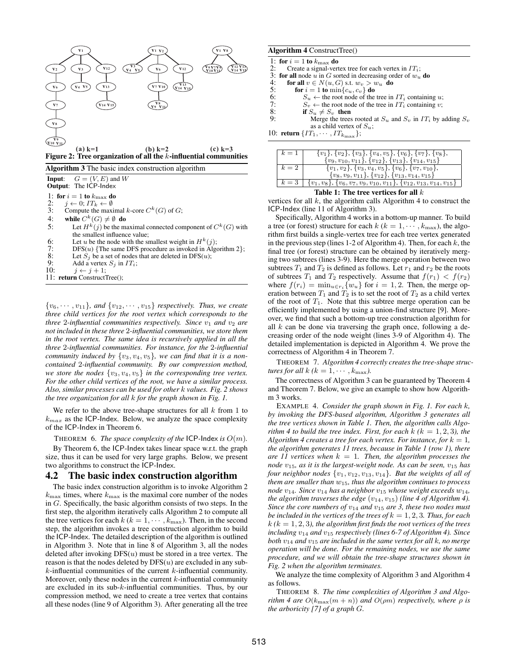

1: for  $i = 1$  to  $k_{\text{max}}$  do<br>2:  $j \leftarrow 0$ ;  $IT_k \leftarrow \emptyset$ 

2:  $j \leftarrow 0; IT_k \leftarrow \emptyset$ <br>3: Compute the maxi Compute the maximal *k*-core  $C^k(G)$  of *G*;

4: while  $C^k(G) \neq \emptyset$  do

5: Let  $H^k(j)$  be the maximal connected component of  $C^k(G)$  with the smallest influence value; 6: Let *u* be the node with the smallest weight in  $H^k(j)$ ;<br>7: DFS(*u*) {The same DFS procedure as invoked in Algo 7: DFS(*u*) {The same DFS procedure as invoked in Algorithm 2};<br>8: Let  $S_i$  be a set of nodes that are deleted in DFS(*u*):

8: Let  $S_j$  be a set of nodes that are deleted in DFS(*u*);<br>9: Add a vertex  $S_j$  in  $IT_i$ ;

9: Add a vertex  $S_j$  in  $IT_i$ ;<br>10:  $i \leftarrow i + 1$ :

 $i \leftarrow i + 1$ : 11: return ConstructTree();

 ${v_6, \cdots, v_{11}}$ *, and*  ${v_{12}, \cdots, v_{15}}$  *respectively. Thus, we create three child vertices for the root vertex which corresponds to the three* 2-influential communities respectively. Since  $v_1$  and  $v_2$  are *not included in these three* 2*-influential communities, we store them in the root vertex. The same idea is recursively applied in all the three* 2*-influential communities. For instance, for the* 2*-influential community induced by*  $\{v_3, v_4, v_5\}$ *, we can find that it is a noncontained* 2*-influential community. By our compression method, we store the nodes*  $\{v_3, v_4, v_5\}$  *in the corresponding tree vertex. For the other child vertices of the root, we have a similar process. Also, similar processes can be used for other k values. Fig. 2 shows the tree organization for all k for the graph shown in Fig. 1.*

We refer to the above tree-shape structures for all *k* from 1 to  $k_{max}$  as the ICP-Index. Below, we analyze the space complexity of the ICP-Index in Theorem 6.

THEOREM 6. *The space complexity of the* ICP-Index *is*  $O(m)$ *.* 

By Theorem 6, the ICP-Index takes linear space w.r.t. the graph size, thus it can be used for very large graphs. Below, we present two algorithms to construct the ICP-Index.

### 4.2 The basic index construction algorithm

The basic index construction algorithm is to invoke Algorithm 2  $k_{\text{max}}$  times, where  $k_{\text{max}}$  is the maximal core number of the nodes in *G*. Specifically, the basic algorithm consists of two steps. In the first step, the algorithm iteratively calls Algorithm 2 to compute all the tree vertices for each  $k$  ( $k = 1, \dots, k_{\text{max}}$ ). Then, in the second step, the algorithm invokes a tree construction algorithm to build the ICP-Index. The detailed description of the algorithm is outlined in Algorithm 3. Note that in line 8 of Algorithm 3, all the nodes deleted after invoking DFS(*u*) must be stored in a tree vertex. The reason is that the nodes deleted by  $DFS(u)$  are excluded in any sub*k*-influential communities of the current *k*-influential community. Moreover, only these nodes in the current *k*-influential community are excluded in its sub-*k*-influential communities. Thus, by our compression method, we need to create a tree vertex that contains all these nodes (line 9 of Algorithm 3). After generating all the tree

#### Algorithm 4 ConstructTree()

1: for  $i = 1$  to  $k_{\text{max}}$  do<br>2. Create a signal-vert

- 2: Create a signal-vertex tree for each vertex in  $IT_i$ ;<br>3: **for all** node u in G sorted in decreasing order of  $w_u$
- 3: **for all** node *u* in *G* sorted in decreasing order of  $w_u$  **do**<br>4: **for all**  $v \in N(u, G)$  s.t.  $w_v > w_u$  **do**
- 4: for all  $v \in N(u, G)$  s.t.  $w_v > w_u$  do<br>5: for  $i = 1$  to  $\min\{c_u, c_v\}$  do
- 5: **for**  $i = 1$  to min{ $c_u$ ,  $c_v$ } do<br>6:  $S_u \leftarrow$  the root node of the

6:  $S_u \leftarrow$  the root node of the tree in  $IT_i$  containing *u*;<br>7:  $S_v \leftarrow$  the root node of the tree in  $IT_i$  containing *v*;

7:  $S_v \leftarrow$  the root node of the tree in  $IT_i$  containing *v*;<br>8: **if**  $S_u \neq S_v$  **then** 

8: if  $S_u \neq S_v$  then<br>9: Merge the trees

Merge the trees rooted at  $S_u$  and  $S_v$  in  $IT_i$  by adding  $S_v$ as a child vertex of *Su*;

10: **return**  $\{IT_1, \cdots, IT_{k_{\text{max}}}\};$ 

| $k=1$ | $\{v_1\}, \{v_2\}, \{v_3\}, \{v_4, v_5\}, \{v_6\}, \{v_7\}, \{v_8\},$           |
|-------|---------------------------------------------------------------------------------|
|       | ${v_9,v_{10},v_{11}}, \{v_{12}\}, \{v_{13}\}, \{v_{14},v_{15}\}$                |
| $k=2$ | $\{v_1, v_2\}, \{v_3, v_4, v_5\}, \{v_6\}, \{v_7, v_{10}\},\$                   |
|       | ${v_8,v_9,v_{11}}, {v_{12}}, {v_{13},v_{14},v_{15}}$                            |
| $k=3$ | ${v_1, v_8}, {v_6, v_7, v_9, v_{10}, v_{11}}, {v_{12}, v_{13}, v_{14}, v_{15}}$ |
|       |                                                                                 |

Table 1: The tree vertices for all *k*

vertices for all  $k$ , the algorithm calls Algorithm 4 to construct the ICP-Index (line 11 of Algorithm 3).

Specifically, Algorithm 4 works in a bottom-up manner. To build a tree (or forest) structure for each  $k$  ( $k = 1, \dots, k_{\text{max}}$ ), the algorithm first builds a single-vertex tree for each tree vertex generated in the previous step (lines 1-2 of Algorithm 4). Then, for each *k*, the final tree (or forest) structure can be obtained by iteratively merging two subtrees (lines 3-9). Here the merge operation between two subtrees  $T_1$  and  $T_2$  is defined as follows. Let  $r_1$  and  $r_2$  be the roots of subtrees  $T_1$  and  $T_2$  respectively. Assume that  $f(r_1) < f(r_2)$ where  $f(r_i) = \min_{u \in r_i} \{w_u\}$  for  $i = 1, 2$ . Then, the merge operation between  $T_1$  and  $T_2$  is to set the root of  $T_2$  as a child vertex of the root of  $T_1$ . Note that this subtree merge operation can be efficiently implemented by using a union-find structure [9]. Moreover, we find that such a bottom-up tree construction algorithm for all *k* can be done via traversing the graph once, following a decreasing order of the node weight (lines 3-9 of Algorithm 4). The detailed implementation is depicted in Algorithm 4. We prove the correctness of Algorithm 4 in Theorem 7.

THEOREM 7. *Algorithm 4 correctly creates the tree-shape structures for all*  $k$   $(k = 1, \cdots, k_{\text{max}})$ .

The correctness of Algorithm 3 can be guaranteed by Theorem 4 and Theorem 7. Below, we give an example to show how Algorithm 3 works.

EXAMPLE 4. *Consider the graph shown in Fig. 1. For each k, by invoking the DFS-based algorithm, Algorithm 3 generates all the tree vertices shown in Table 1. Then, the algorithm calls Algorithm 4 to build the tree index. First, for each*  $k$  *(* $k = 1, 2, 3$ *), the Algorithm 4 creates a tree for each vertex. For instance, for*  $k = 1$ , *the algorithm generates 11 trees, because in Table 1 (row 1), there are 11 vertices when*  $k = 1$ *. Then, the algorithm processes the node v*15*, as it is the largest-weight node. As can be seen, v*<sup>15</sup> *has four neighbor nodes*  $\{v_1, v_{12}, v_{13}, v_{14}\}$ *. But the weights of all of them are smaller than w*15*, thus the algorithm continues to process node*  $v_{14}$ *. Since*  $v_{14}$  *has a neighbor*  $v_{15}$  *whose weight exceeds*  $w_{14}$ *, the algorithm traverses the edge*  $(v_{14}, v_{15})$  *(line 4 of Algorithm 4). Since the core numbers of*  $v_{14}$  *and*  $v_{15}$  *are 3, these two nodes must be included in the vertices of the trees of*  $k = 1, 2, 3$ *. Thus, for each*  $k$  ( $k = 1, 2, 3$ ), the algorithm first finds the root vertices of the trees *including v*<sup>14</sup> *and v*<sup>15</sup> *respectively (lines 6-7 of Algorithm 4). Since both v*<sup>14</sup> *and v*<sup>15</sup> *are included in the same vertex for all k, no merge operation will be done. For the remaining nodes, we use the same procedure, and we will obtain the tree-shape structures shown in Fig. 2 when the algorithm terminates.*

We analyze the time complexity of Algorithm 3 and Algorithm 4 as follows.

THEOREM 8. *The time complexities of Algorithm 3 and Algorithm 4 are*  $O(k_{\text{max}}(m+n))$  *and*  $O(\rho m)$  *respectively, where*  $\rho$  *is the arboricity [7] of a graph G.*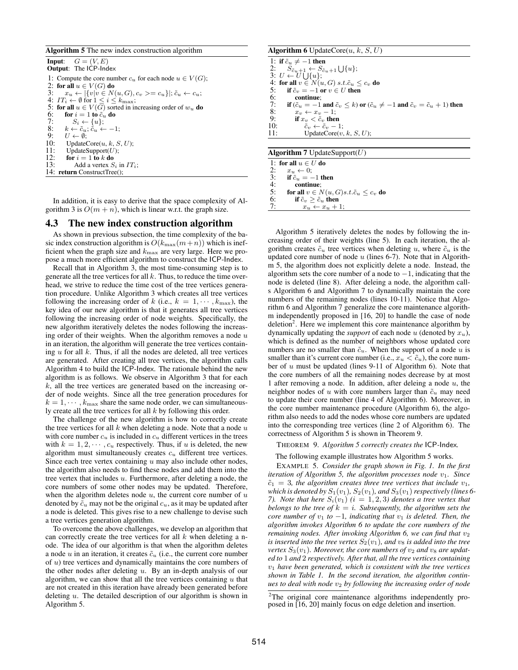Algorithm 5 The new index construction algorithm

**Input:**  $G = (V, E)$ Output: The ICP-Index 1: Compute the core number  $c_u$  for each node  $u \in V(G)$ ; 2: for all  $u \in V(G)$  do<br>3:  $x \leftarrow |f_v|_v \in N(G)$ 3:  $x_u \leftarrow |\{v|v \in N(u, G), c_v \geq c_u\}|; \tilde{c}_u \leftarrow c_u;$ 4:  $IT_i \leftarrow \emptyset$  for  $1 \leq i \leq k_{\text{max}}$ ; 5: for all *u* ∈ *V*( $\overline{G}$ ) sorted in increasing order of *w<sub>u</sub>* do 6: for *i* = 1 to  $\tilde{c}_v$ , do 6: for  $i = 1$  to  $\tilde{c}_u$  do 7. 7:  $S_i \leftarrow \{u\};$ <br>8:  $k \leftarrow \tilde{c}_u; \tilde{c}_u \leftarrow$ 8:  $k \leftarrow \tilde{c}_u; \tilde{c}_u \leftarrow -1;$ <br>9:  $U \leftarrow \emptyset;$ 9:  $U \leftarrow \emptyset$ ;<br>10: UpdateC 10: UpdateCore(*u*, *k*, *S*, *U*); 11: UpdateSupport(*U*);<br>12: **for**  $i = 1$  **to**  $k$  **do** 12: **for**  $i = 1$  **to**  $k$  **do**<br>13: **Add a vertex**  $S$ Add a vertex  $S_i$  in  $IT_i$ ; 14: return ConstructTree();

In addition, it is easy to derive that the space complexity of Algorithm 3 is  $O(m + n)$ , which is linear w.r.t. the graph size.

#### 4.3 The new index construction algorithm

As shown in previous subsection, the time complexity of the basic index construction algorithm is  $O(k_{\text{max}}(m+n))$  which is inefficient when the graph size and *k*max are very large. Here we propose a much more efficient algorithm to construct the ICP-Index.

Recall that in Algorithm 3, the most time-consuming step is to generate all the tree vertices for all *k*. Thus, to reduce the time overhead, we strive to reduce the time cost of the tree vertices generation procedure. Unlike Algorithm 3 which creates all tree vertices following the increasing order of *k* (i.e.,  $k = 1, \dots, k_{\text{max}}$ ), the key idea of our new algorithm is that it generates all tree vertices following the increasing order of node weights. Specifically, the new algorithm iteratively deletes the nodes following the increasing order of their weights. When the algorithm removes a node *u* in an iteration, the algorithm will generate the tree vertices containing *u* for all *k*. Thus, if all the nodes are deleted, all tree vertices are generated. After creating all tree vertices, the algorithm calls Algorithm 4 to build the ICP-Index. The rationale behind the new algorithm is as follows. We observe in Algorithm 3 that for each *k*, all the tree vertices are generated based on the increasing order of node weights. Since all the tree generation procedures for  $k = 1, \dots, k_{\text{max}}$  share the same node order, we can simultaneously create all the tree vertices for all *k* by following this order.

The challenge of the new algorithm is how to correctly create the tree vertices for all *k* when deleting a node. Note that a node *u* with core number  $c_u$  is included in  $c_u$  different vertices in the trees with  $k = 1, 2, \dots, c_u$  respectively. Thus, if *u* is deleted, the new algorithm must simultaneously creates *c<sup>u</sup>* different tree vertices. Since each tree vertex containing *u* may also include other nodes, the algorithm also needs to find these nodes and add them into the tree vertex that includes *u*. Furthermore, after deleting a node, the core numbers of some other nodes may be updated. Therefore, when the algorithm deletes node *u*, the current core number of *u* denoted by  $\tilde{c}_u$  may not be the original  $c_u$ , as it may be updated after a node is deleted. This gives rise to a new challenge to devise such a tree vertices generation algorithm.

To overcome the above challenges, we develop an algorithm that can correctly create the tree vertices for all *k* when deleting a node. The idea of our algorithm is that when the algorithm deletes a node  $u$  in an iteration, it creates  $\tilde{c}_u$  (i.e., the current core number of *u*) tree vertices and dynamically maintains the core numbers of the other nodes after deleting *u*. By an in-depth analysis of our algorithm, we can show that all the tree vertices containing *u* that are not created in this iteration have already been generated before deleting *u*. The detailed description of our algorithm is shown in Algorithm 5.

### Algorithm 6 UpdateCore $(u, k, S, U)$ 1: if  $\tilde{c}_u \neq -1$  then 2:  $S_{\tilde{c}_u+1} \leftarrow S_{\tilde{c}_u+1}$  ∪{*u*};<br>3: *U* ← *U* ∪{*u*}; 4: for all  $v \in N(u, G)$  *s.t.* $\tilde{c}_u \leq c_v$  do<br>5: if  $\tilde{c}_v = -1$  or  $v \in U$  then 5: if  $\tilde{c}_v = -1$  or  $v \in U$  then<br>6: continue; 6: continue;<br>7: if  $(\tilde{c}_u = -1)$ 7: if  $(\tilde{c}_u = -1 \text{ and } \tilde{c}_v \le k)$  or  $(\tilde{c}_u \ne -1 \text{ and } \tilde{c}_v = \tilde{c}_u + 1)$  then<br>8:  $x_v \leftarrow x_v - 1$ ; 8:  $x_v \leftarrow x_v - 1;$ <br>9: **if**  $x_v \leq \tilde{c}_v$  then 9: **if**  $x_v < \tilde{c}_v$  then<br>10:  $\tilde{c}_v \leftarrow \tilde{c}_v - 1$ 10:  $\tilde{c}_v \leftarrow \tilde{c}_v - 1;$ <br>11: UpdateCore $(v,$ UpdateCore $(v, k, S, U)$ ; Algorithm 7 UpdateSupport(*U*) 1: for all  $u \in U$  do<br>2:  $x_u \leftarrow 0$ : 2:  $x_u \leftarrow 0;$ <br>3: **if**  $\tilde{c}_u = -$ 3: if  $\tilde{c}_u = -1$  then<br>4: continue;

4: continue;<br>5: for all  $v \in N$ 5: for all  $v \in N(u, G)$ *s.t.* $\tilde{c}_u \leq c_v$  do<br>6: if  $\tilde{c}_v \geq \tilde{c}_u$  then

if  $\tilde{c}_v \geq \tilde{c}_u$  then

7:  $x_u \leftarrow x_u + 1;$ 

Algorithm 5 iteratively deletes the nodes by following the increasing order of their weights (line 5). In each iteration, the algorithm creates  $\tilde{c}_u$  tree vertices when deleting *u*, where  $\tilde{c}_u$  is the updated core number of node *u* (lines 6-7). Note that in Algorithm 5, the algorithm does not explicitly delete a node. Instead, the algorithm sets the core number of a node to *−*1, indicating that the node is deleted (line 8). After deleing a node, the algorithm calls Algorithm 6 and Algorithm 7 to dynamically maintain the core numbers of the remaining nodes (lines 10-11). Notice that Algorithm 6 and Algorithm 7 generalize the core maintenance algorithm independently proposed in [16, 20] to handle the case of node deletion<sup>2</sup>. Here we implement this core maintenance algorithm by dynamically updating the *support* of each node *u* (denoted by *xu*), which is defined as the number of neighbors whose updated core numbers are no smaller than  $\tilde{c}_u$ . When the support of a node *u* is smaller than it's current core number (i.e.,  $x_u < \tilde{c}_u$ ), the core number of *u* must be updated (lines 9-11 of Algorithm 6). Note that the core numbers of all the remaining nodes decrease by at most 1 after removing a node. In addition, after deleing a node *u*, the neighbor nodes of  $u$  with core numbers larger than  $\tilde{c}_u$  may need to update their core number (line 4 of Algorithm 6). Moreover, in the core number maintenance procedure (Algorithm 6), the algorithm also needs to add the nodes whose core numbers are updated into the corresponding tree vertices (line 2 of Algorithm 6). The correctness of Algorithm 5 is shown in Theorem 9.

THEOREM 9. *Algorithm 5 correctly creates the* ICP*-*Index*.*

The following example illustrates how Algorithm 5 works.

EXAMPLE 5. *Consider the graph shown in Fig. 1. In the first iteration of Algorithm 5, the algorithm processes node v*1*. Since*  $\tilde{c}_1 = 3$ , the algorithm creates three tree vertices that include  $v_1$ , *which is denoted by*  $S_1(v_1)$ *,*  $S_2(v_1)$ *, and*  $S_3(v_1)$  *respectively (lines 6-7*). Note that here  $S_i(v_1)$   $(i = 1, 2, 3)$  denotes a tree vertex that *belongs to the tree of*  $k = i$ *. Subsequently, the algorithm sets the core number of*  $v_1$  *to*  $-1$ *, indicating that*  $v_1$  *is deleted. Then, the algorithm invokes Algorithm 6 to update the core numbers of the remaining nodes. After invoking Algorithm 6, we can find that*  $v_2$ *is inserted into the tree vertex*  $S_2(v_1)$ *, and*  $v_8$  *is added into the tree vertex*  $S_3(v_1)$ *. Moreover, the core numbers of*  $v_2$  *and*  $v_8$  *are updated to* 1 *and* 2 *respectively. After that, all the tree vertices containing v*<sup>1</sup> *have been generated, which is consistent with the tree vertices shown in Table 1. In the second iteration, the algorithm continues to deal with node v*<sup>2</sup> *by following the increasing order of node*

<sup>&</sup>lt;sup>2</sup>The original core maintenance algorithms independently proposed in [16, 20] mainly focus on edge deletion and insertion.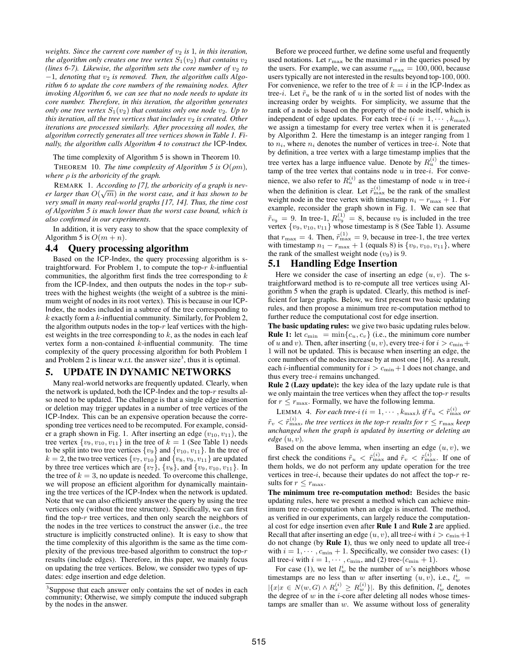*weights. Since the current core number of*  $v_2$  *is* 1*, in this iteration, the algorithm only creates one tree vertex*  $S_1(v_2)$  *that contains*  $v_2$ *(lines 6-7). Likewise, the algorithm sets the core number of*  $v_2$  *to −*1*, denoting that v*<sup>2</sup> *is removed. Then, the algorithm calls Algorithm 6 to update the core numbers of the remaining nodes. After invoking Algorithm 6, we can see that no node needs to update its core number. Therefore, in this iteration, the algorithm generates only one tree vertex*  $S_1(v_2)$  *that contains only one node*  $v_2$ *. Up to this iteration, all the tree vertices that includes*  $v_2$  *is created. Other iterations are processed similarly. After processing all nodes, the algorithm correctly generates all tree vertices shown in Table 1. Finally, the algorithm calls Algorithm 4 to construct the* ICP*-*Index*.*

The time complexity of Algorithm 5 is shown in Theorem 10.

THEOREM 10. *The time complexity of Algorithm 5 is*  $O(\rho m)$ *, where ρ is the arboricity of the graph.*

REMARK 1. *According to [7], the arboricity of a graph is nev-√ er larger than*  $O(\sqrt{m})$  *in the worst case, and it has shown to be very small in many real-world graphs [17, 14]. Thus, the time cost of Algorithm 5 is much lower than the worst case bound, which is also confirmed in our experiments.*

In addition, it is very easy to show that the space complexity of Algorithm 5 is  $O(m + n)$ .

### 4.4 Query processing algorithm

Based on the ICP-Index, the query processing algorithm is straightforward. For Problem 1, to compute the top-*r k*-influential communities, the algorithm first finds the tree corresponding to *k* from the ICP-Index, and then outputs the nodes in the top-*r* subtrees with the highest weights (the weight of a subtree is the minimum weight of nodes in its root vertex). This is because in our ICP-Index, the nodes included in a subtree of the tree corresponding to *k* exactly form a *k*-influential community. Similarly, for Problem 2, the algorithm outputs nodes in the top- $r$  leaf vertices with the highest weights in the tree corresponding to *k*, as the nodes in each leaf vertex form a non-contained *k*-influential community. The time complexity of the query processing algorithm for both Problem 1 and Problem 2 is linear w.r.t. the answer size<sup>3</sup>, thus it is optimal.

#### 5. UPDATE IN DYNAMIC NETWORKS

Many real-world networks are frequently updated. Clearly, when the network is updated, both the ICP-Index and the top-*r* results also need to be updated. The challenge is that a single edge insertion or deletion may trigger updates in a number of tree vertices of the ICP-Index. This can be an expensive operation because the corresponding tree vertices need to be recomputed. For example, consider a graph shown in Fig. 1. After inserting an edge  $(v_{10}, v_{11})$ , the tree vertex  $\{v_9, v_{10}, v_{11}\}$  in the tree of  $k = 1$  (See Table 1) needs to be split into two tree vertices  $\{v_9\}$  and  $\{v_{10}, v_{11}\}$ . In the tree of  $k = 2$ , the two tree vertices  $\{v_7, v_{10}\}$  and  $\{v_8, v_9, v_{11}\}$  are updated by three tree vertices which are  $\{v_7\}$ ,  $\{v_8\}$ , and  $\{v_9, v_{10}, v_{11}\}$ . In the tree of  $k = 3$ , no update is needed. To overcome this challenge, we will propose an efficient algorithm for dynamically maintaining the tree vertices of the ICP-Index when the network is updated. Note that we can also efficiently answer the query by using the tree vertices only (without the tree structure). Specifically, we can first find the top-*r* tree vertices, and then only search the neighbors of the nodes in the tree vertices to construct the answer (i.e., the tree structure is implicitly constructed online). It is easy to show that the time complexity of this algorithm is the same as the time complexity of the previous tree-based algorithm to construct the top-*r* results (include edges). Therefore, in this paper, we mainly focus on updating the tree vertices. Below, we consider two types of updates: edge insertion and edge deletion.

Before we proceed further, we define some useful and frequently used notations. Let  $r_{\text{max}}$  be the maximal  $r$  in the queries posed by the users. For example, we can assume  $r_{\text{max}} = 100,000$ , because users typically are not interested in the results beyond top-100*,* 000. For convenience, we refer to the tree of  $k = i$  in the ICP-Index as tree-*i*. Let  $\tilde{r}_u$  be the rank of *u* in the sorted list of nodes with the increasing order by weights. For simplicity, we assume that the rank of a node is based on the property of the node itself, which is independent of edge updates. For each tree-*i* ( $i = 1, \dots, k_{\text{max}}$ ), we assign a timestamp for every tree vertex when it is generated by Algorithm 2. Here the timestamp is an integer ranging from 1 to  $n_i$ , where  $n_i$  denotes the number of vertices in tree- $i$ . Note that by definition, a tree vertex with a large timestamp implies that the tree vertex has a large influence value. Denote by  $R_u^{(i)}$  the timestamp of the tree vertex that contains node *u* in tree-*i*. For convenience, we also refer to  $R_u^{(i)}$  as the timestamp of node *u* in tree-*i* when the definition is clear. Let  $\tilde{r}^{(i)}_{\text{max}}$  be the rank of the smallest weight node in the tree vertex with timestamp  $n_i - r_{\text{max}} + 1$ . For example, reconsider the graph shown in Fig. 1. We can see that  $\tilde{r}_{v_9} = 9$ . In tree-1,  $R_{v_9}^{(1)} = 8$ , because  $v_9$  is included in the tree vertex  $\{v_9, v_{10}, v_{11}\}$  whose timestamp is 8 (See Table 1). Assume that  $r_{\text{max}} = 4$ . Then,  $\tilde{r}_{\text{max}}^{(1)} = 9$ , because in tree-1, the tree vertex with timestamp  $n_1 - r_{\text{max}} + 1$  (equals 8) is  $\{v_9, v_{10}, v_{11}\}$ , where the rank of the smallest weight node  $(v_9)$  is 9.

#### 5.1 Handling Edge Insertion

Here we consider the case of inserting an edge  $(u, v)$ . The straightforward method is to re-compute all tree vertices using Algorithm 5 when the graph is updated. Clearly, this method is inefficient for large graphs. Below, we first present two basic updating rules, and then propose a minimum tree re-computation method to further reduce the computational cost for edge insertion.

The basic updating rules: we give two basic updating rules below. **Rule 1:** let  $c_{\min} = \min\{c_u, c_v\}$  (i.e., the minimum core number of *u* and *v*). Then, after inserting  $(u, v)$ , every tree-*i* for  $i > c_{\min}$  + 1 will not be updated. This is because when inserting an edge, the core numbers of the nodes increase by at most one [16]. As a result, each *i*-influential community for  $i > c_{\min} + 1$  does not change, and thus every tree-*i* remains unchanged.

Rule 2 (Lazy update): the key idea of the lazy update rule is that we only maintain the tree vertices when they affect the top-*r* results for  $r \leq r_{\text{max}}$ . Formally, we have the following lemma.

LEMMA 4. *For each tree-i* ( $i=1,\cdots,k_{\text{max}}$ ), if  $\tilde{r}_u<\tilde{r}_{\text{max}}^{(i)}$  or  $\tilde{r}_v < \tilde{r}_{\max}^{(i)}$ , the tree vertices in the top- $r$  results for  $r \leq r_{\max}$  keep *unchanged when the graph is updated by inserting or deleting an edge* (*u, v*)*.*

Based on the above lemma, when inserting an edge  $(u, v)$ , we first check the conditions  $\tilde{r}_u < \tilde{r}_{\text{max}}^{(i)}$  and  $\tilde{r}_v < \tilde{r}_{\text{max}}^{(i)}$ . If one of them holds, we do not perform any update operation for the tree vertices in tree-*i*, because their updates do not affect the top-*r* results for  $r \leq r_{\text{max}}$ .

The minimum tree re-computation method: Besides the basic updating rules, here we present a method which can achieve minimum tree re-computation when an edge is inserted. The method, as verified in our experiments, can largely reduce the computational cost for edge insertion even after Rule 1 and Rule 2 are applied. Recall that after inserting an edge  $(u, v)$ , all tree-*i* with  $i > c_{\min}+1$ do not change (by Rule 1), thus we only need to update all tree-*i* with  $i = 1, \dots, c_{\text{min}} + 1$ . Specifically, we consider two cases: (1) all tree-*i* with  $i = 1, \dots, c_{\text{min}}$ , and (2) tree- $(c_{\text{min}} + 1)$ .

For case (1), we let  $l_w^i$  be the number of w's neighbors whose timestamps are no less than *w* after inserting  $(u, v)$ , i.e.,  $l_w^i =$  $|{x|x \in N(w, G) ∧ R_x^{(i)} \ge R_w^{(i)}\}|$ . By this definition,  $l_w^i$  denotes the degree of *w* in the *i*-core after deleting all nodes whose timestamps are smaller than *w*. We assume without loss of generality

<sup>&</sup>lt;sup>3</sup>Suppose that each answer only contains the set of nodes in each community; Otherwise, we simply compute the induced subgraph by the nodes in the answer.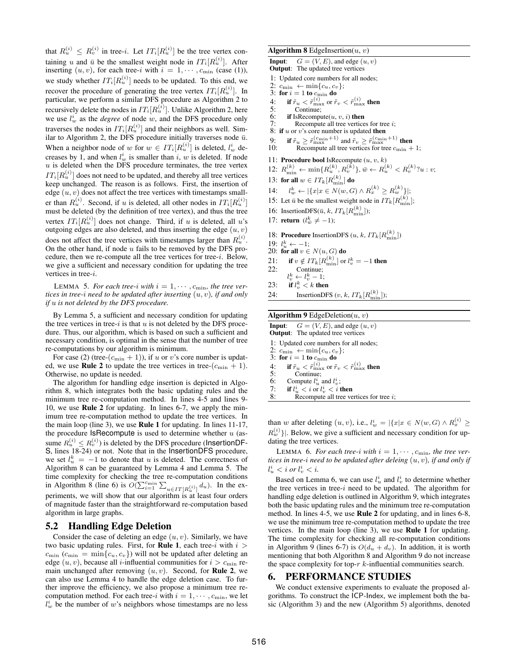that  $R_u^{(i)} \leq R_v^{(i)}$  in tree-*i*. Let  $IT_i[R_u^{(i)}]$  be the tree vertex containing *u* and  $\bar{u}$  be the smallest weight node in  $IT_i[R_u^{(i)}]$ . After inserting  $(u, v)$ , for each tree-*i* with  $i = 1, \dots, c_{\min}$  (case (1)), we study whether  $IT_i[R_u^{(i)}]$  needs to be updated. To this end, we recover the procedure of generating the tree vertex  $IT_i[R_u^{(i)}]$ . In particular, we perform a similar DFS procedure as Algorithm 2 to recursively delete the nodes in  $IT_i[R_u^{(i)}]$ . Unlike Algorithm 2, here we use  $l_w^i$  as the *degree* of node *w*, and the DFS procedure only traverses the nodes in  $IT_i[R_u^{(i)}]$  and their neighbors as well. Similar to Algorithm 2, the DFS procedure initially traverses node  $\bar{u}$ . When a neighbor node of *w* for  $w \in IT_i[R_u^{(i)}]$  is deleted,  $l_w^i$  decreases by 1, and when  $l_w^i$  is smaller than *i*, *w* is deleted. If node *u* is deleted when the DFS procedure terminates, the tree vertex  $IT_i[R_u^{(i)}]$  does not need to be updated, and thereby all tree vertices keep unchanged. The reason is as follows. First, the insertion of edge  $(u, v)$  does not affect the tree vertices with timestamps smaller than  $R_u^{(i)}$ . Second, if *u* is deleted, all other nodes in  $IT_i[R_u^{(i)}]$ must be deleted (by the definition of tree vertex), and thus the tree vertex  $IT_i[R_u^{(i)}]$  does not change. Third, if *u* is deleted, all *u*'s outgoing edges are also deleted, and thus inserting the edge (*u, v*) does not affect the tree vertices with timestamps larger than  $R_u^{(i)}$ . On the other hand, if node *u* fails to be removed by the DFS procedure, then we re-compute all the tree vertices for tree-*i*. Below, we give a sufficient and necessary condition for updating the tree vertices in tree-*i*.

LEMMA 5. For each tree-*i* with  $i = 1, \dots, c_{\min}$ , the tree ver*tices in tree-i need to be updated after inserting* (*u, v*)*, if and only if u is not deleted by the DFS procedure.*

By Lemma 5, a sufficient and necessary condition for updating the tree vertices in tree- $i$  is that  $u$  is not deleted by the DFS procedure. Thus, our algorithm, which is based on such a sufficient and necessary condition, is optimal in the sense that the number of tree re-computations by our algorithm is minimum.

For case (2) (tree- $(c_{\min} + 1)$ ), if *u* or *v*'s core number is updated, we use **Rule 2** to update the tree vertices in tree- $(c_{\min} + 1)$ . Otherwise, no update is needed.

The algorithm for handling edge insertion is depicted in Algorithm 8, which integrates both the basic updating rules and the minimum tree re-computation method. In lines 4-5 and lines 9- 10, we use Rule 2 for updating. In lines 6-7, we apply the minimum tree re-computation method to update the tree vertices. In the main loop (line 3), we use Rule 1 for updating. In lines 11-17, the procedure IsRecompute is used to determine whether *u* (assume  $R_u^{(i)} \leq R_v^{(i)}$ ) is deleted by the DFS procedure (InsertionDF-S, lines 18-24) or not. Note that in the InsertionDFS procedure, we set  $l_u^k = -1$  to denote that *u* is deleted. The correctness of Algorithm 8 can be guaranteed by Lemma 4 and Lemma 5. The time complexity for checking the tree re-computation conditions in Algorithm 8 (line 6) is  $O(\sum_{i=1}^{c_{\text{min}}} \sum_{u \in IT[R_u^{(i)}]} d_u)$ . In the experiments, we will show that our algorithm is at least four orders of magnitude faster than the straightforward re-computation based algorithm in large graphs.

#### 5.2 Handling Edge Deletion

Consider the case of deleting an edge (*u, v*). Similarly, we have two basic updating rules. First, for Rule 1, each tree-*i* with *i >*  $c_{\min}$  ( $c_{\min}$  =  $\min\{c_u, c_v\}$ ) will not be updated after deleting an edge  $(u, v)$ , because all *i*-influential communities for  $i > c_{\min}$  remain unchanged after removing  $(u, v)$ . Second, for **Rule 2**, we can also use Lemma 4 to handle the edge deletion case. To further improve the efficiency, we also propose a minimum tree recomputation method. For each tree-*i* with  $i = 1, \dots, c_{\text{min}}$ , we let  $l_w^i$  be the number of *w*'s neighbors whose timestamps are no less

**Input:**  $G = (V, E)$ , and edge  $(u, v)$ Output: The updated tree vertices 1: Updated core numbers for all nodes; 2:  $c_{\min} \leftarrow \min\{c_u, c_v\}$ ;  $3:$  for  $i = 1$  to  $c_{\min}$  do 4: if  $\tilde{r}_u < \tilde{r}_{\rm max}^{(i)}$  or  $\tilde{r}_v < \tilde{r}_{\rm max}^{(i)}$  then 5: Continue;<br>6: if IsRecompu 6: if IsRecompute $(u, v, i)$  then<br>7: Recompute all tree vertice Recompute all tree vertices for tree *i*; 8: if *u* or *v*'s core number is updated then 9: if  $\tilde{r}_u \geq \tilde{r}_{\text{max}}^{(c_{\text{min}}+1)}$  and  $\tilde{r}_v \geq \tilde{r}_{\text{max}}^{(c_{\text{min}}+1)}$  then 10: Recompute all tree vertices for tree  $c_{\text{min}} + 1$ ; 11: Procedure bool IsRecompute (*u*, *v*, *k*) 12:  $R_{\min}^{(k)} \leftarrow \min\{R_u^{(k)}, R_v^{(k)}\}, \bar{w} \leftarrow R_u^{(k)} < R_v^{(k)}$ ?*u* : *v*; 13: for all  $w \in IT_k[R_{\text{min}}^{(k)}]$  do 14:  $l_w^k \leftarrow |\{x | x \in N(w, G) \land R_x^{(k)} \geq R_w^{(k)}\}|;$ 15: Let  $\bar{u}$  be the smallest weight node in  $IT_k[R_{\text{min}}^{(k)}];$ 

Algorithm 8 EdgeInsertion(*u*, *v*)

- 16: InsertionDFS( $\bar{u}$ ,  $k$ ,  $IT_k[R_{\text{min}}^{(k)}]$ );
- 17: **return**  $(l_{\bar{w}}^k \neq -1);$
- 18: **Procedure** InsertionDFS  $(u, k, IT_k[R_{\text{min}}^{(k)})$
- 19:  $l_u^k$  ← −1;
- 20: for all  $v \in N(u, G)$  do

21: if 
$$
v \notin IT_k[R_{\min}^{(k)}]
$$
 or  $l_v^k = -1$  then

- 22: Continue;
- $l_v^k \leftarrow l_v^k 1;$ 23: if  $l_v^k < k$  then
- 

## 24: InsertionDFS  $(v, k, IT_k[R_{\text{min}}^{(k)}])$ ;

### Algorithm 9 EdgeDeletion(*u*, *v*)

| <b>Input:</b> $G = (V, E)$ , and edge $(u, v)$ |
|------------------------------------------------|
| <b>Output:</b> The updated tree vertices       |
| 1. Undeted case mumbers for all nodes.         |

- 1: Updated core numbers for all nodes;
- 2:  $c_{\min} \leftarrow \min\{c_u, c_v\}$ ; 3: for  $i = 1$  to  $c_{\min}$  do
- 4: if  $\tilde{r}_u < \tilde{r}_{\rm max}^{(i)}$  or  $\tilde{r}_v < \tilde{r}_{\rm max}^{(i)}$  then
- 
- 5: Continue;<br>6: Compute  $l^i$ , a 6: Compute  $l_u^i$  and  $l_v^i$ ;
- 7: if  $l_u^i < i$  or  $l_v^i < i$  then
- 8: Recompute all tree vertices for tree *i*;

than *w* after deleting  $(u, v)$ , i.e.,  $l_w^i = |\{x | x \in N(w, G) \land R_x^{(i)} \geq \}$  $R_w^{(i)}$ }. Below, we give a sufficient and necessary condition for updating the tree vertices.

LEMMA 6. For each tree-*i* with  $i = 1, \dots, c_{\text{min}}$ , the tree ver*tices in tree-i need to be updated after deleing* (*u, v*)*, if and only if*  $l_u^i < i$  or  $l_v^i < i$ .

Based on Lemma 6, we can use  $l_u^i$  and  $l_v^i$  to determine whether the tree vertices in tree-*i* need to be updated. The algorithm for handling edge deletion is outlined in Algorithm 9, which integrates both the basic updating rules and the minimum tree re-computation method. In lines 4-5, we use Rule 2 for updating, and in lines 6-8, we use the minimum tree re-computation method to update the tree vertices. In the main loop (line 3), we use Rule 1 for updating. The time complexity for checking all re-computation conditions in Algorithm 9 (lines 6-7) is  $O(d_u + d_v)$ . In addition, it is worth mentioning that both Algorithm 8 and Algorithm 9 do not increase the space complexity for top-*r k*-influential communities search.

#### 6. PERFORMANCE STUDIES

We conduct extensive experiments to evaluate the proposed algorithms. To construct the ICP-Index, we implement both the basic (Algorithm 3) and the new (Algorithm 5) algorithms, denoted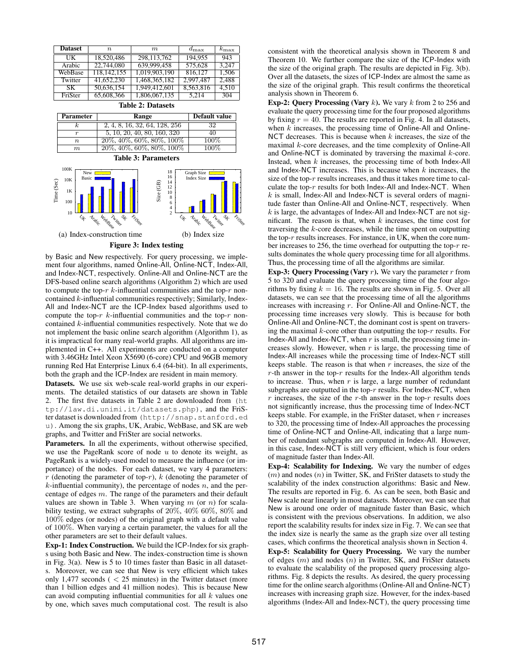| <b>Dataset</b> | $n_{\cdot}$   | m             | $d_{\max}$ | $k_{\rm max}$ |
|----------------|---------------|---------------|------------|---------------|
| <b>IIK</b>     | 18,520,486    | 298,113,762   | 194.955    | 943           |
| Arabic         | 22,744,080    | 639.999.458   | 575,628    | 3.247         |
| WebBase        | 118, 142, 155 | 1,019,903,190 | 816,127    | 1,506         |
| Twitter        | 41,652,230    | 1,468,365,182 | 2.997.487  | 2.488         |
| SK.            | 50,636,154    | 1,949,412,601 | 8,563,816  | 4,510         |
| FriSter        | 65,608,366    | 1,806,067,135 | 5.214      | 304           |

Table 2: Datasets

| <b>Parameter</b> | Range                           | Default value |
|------------------|---------------------------------|---------------|
|                  | 2, 4, 8, 16, 32, 64, 128, 256   | 32            |
| m                | 5, 10, 20, 40, 80, 160, 320     | 40            |
| $\boldsymbol{n}$ | $20\%, 40\%, 60\%, 80\%, 100\%$ | 100\%         |
| m                | 20\%, 40\%, 60\%, 80\%, 100\%   | 100%          |



Figure 3: Index testing

by Basic and New respectively. For query processing, we implement four algorithms, named Online-All, Online-NCT, Index-All, and Index-NCT, respectively. Online-All and Online-NCT are the DFS-based online search algorithms (Algorithm 2) which are used to compute the top-*r k*-influential communities and the top-*r* noncontained *k*-influential communities respectively; Similarly, Index-All and Index-NCT are the ICP-Index based algorithms used to compute the top-*r k*-influential communities and the top-*r* noncontained *k*-influential communities respectively. Note that we do not implement the basic online search algorithm (Algorithm 1), as it is impractical for many real-world graphs. All algorithms are implemented in C++. All experiments are conducted on a computer with 3.46GHz Intel Xeon X5690 (6-core) CPU and 96GB memory running Red Hat Enterprise Linux 6.4 (64-bit). In all experiments, both the graph and the ICP-Index are resident in main memory.

Datasets. We use six web-scale real-world graphs in our experiments. The detailed statistics of our datasets are shown in Table 2. The first five datasets in Table 2 are downloaded from (ht tp://law.di.unimi.it/datasets.php), and the FriSter dataset is downloaded from (http://snap.stanford.ed u). Among the six graphs, UK, Arabic, WebBase, and SK are web graphs, and Twitter and FriSter are social networks.

Parameters. In all the experiments, without otherwise specified, we use the PageRank score of node *u* to denote its weight, as PageRank is a widely-used model to measure the influence (or importance) of the nodes. For each dataset, we vary 4 parameters: *r* (denoting the parameter of top-*r*), *k* (denoting the parameter of *k*-influential community), the percentage of nodes *n*, and the percentage of edges *m*. The range of the parameters and their default values are shown in Table 3. When varying *m* (or *n*) for scalability testing, we extract subgraphs of 20%, 40% 60%, 80% and 100% edges (or nodes) of the original graph with a default value of 100%. When varying a certain parameter, the values for all the other parameters are set to their default values.

Exp-1: Index Construction. We build the ICP-Index for six graphs using both Basic and New. The index-construction time is shown in Fig. 3(a). New is 5 to 10 times faster than Basic in all datasets. Moreover, we can see that New is very efficient which takes only 1,477 seconds ( *<* 25 minutes) in the Twitter dataset (more than 1 billion edges and 41 million nodes). This is because New can avoid computing influential communities for all *k* values one by one, which saves much computational cost. The result is also consistent with the theoretical analysis shown in Theorem 8 and Theorem 10. We further compare the size of the ICP-Index with the size of the original graph. The results are depicted in Fig. 3(b). Over all the datasets, the sizes of ICP-Index are almost the same as the size of the original graph. This result confirms the theoretical analysis shown in Theorem 6.

Exp-2: Query Processing (Vary *k*). We vary *k* from 2 to 256 and evaluate the query processing time for the four proposed algorithms by fixing  $r = 40$ . The results are reported in Fig. 4. In all datasets, when *k* increases, the processing time of Online-All and Online-NCT decreases. This is because when *k* increases, the size of the maximal *k*-core decreases, and the time complexity of Online-All and Online-NCT is dominated by traversing the maximal *k*-core. Instead, when *k* increases, the processing time of both Index-All and Index-NCT increases. This is because when *k* increases, the size of the top-*r* results increases, and thus it takes more time to calculate the top-*r* results for both Index-All and Index-NCT. When *k* is small, Index-All and Index-NCT is several orders of magnitude faster than Online-All and Online-NCT, respectively. When *k* is large, the advantages of Index-All and Index-NCT are not significant. The reason is that, when *k* increases, the time cost for traversing the *k*-core decreases, while the time spent on outputting the top-*r* results increases. For instance, in UK, when the core number increases to 256, the time overhead for outputting the top-*r* results dominates the whole query processing time for all algorithms. Thus, the processing time of all the algorithms are similar.

Exp-3: Query Processing (Vary *r*). We vary the parameter *r* from 5 to 320 and evaluate the query processing time of the four algorithms by fixing  $k = 16$ . The results are shown in Fig. 5. Over all datasets, we can see that the processing time of all the algorithms increases with increasing *r*. For Online-All and Online-NCT, the processing time increases very slowly. This is because for both Online-All and Online-NCT, the dominant cost is spent on traversing the maximal *k*-core other than outputting the top-*r* results. For Index-All and Index-NCT, when *r* is small, the processing time increases slowly. However, when *r* is large, the processing time of Index-All increases while the processing time of Index-NCT still keeps stable. The reason is that when *r* increases, the size of the *r*-th answer in the top-*r* results for the Index-All algorithm tends to increase. Thus, when *r* is large, a large number of redundant subgraphs are outputted in the top-*r* results. For Index-NCT, when *r* increases, the size of the *r*-th answer in the top-*r* results does not significantly increase, thus the processing time of Index-NCT keeps stable. For example, in the FriSter dataset, when *r* increases to 320, the processing time of Index-All approaches the processing time of Online-NCT and Online-All, indicating that a large number of redundant subgraphs are computed in Index-All. However, in this case, Index-NCT is still very efficient, which is four orders of magnitude faster than Index-All.

Exp-4: Scalability for Indexing. We vary the number of edges (*m*) and nodes (*n*) in Twitter, SK, and FriSter datasets to study the scalability of the index construction algorithms: Basic and New. The results are reported in Fig. 6. As can be seen, both Basic and New scale near linearly in most datasets. Moreover, we can see that New is around one order of magnitude faster than Basic, which is consistent with the previous observations. In addition, we also report the scalability results for index size in Fig. 7. We can see that the index size is nearly the same as the graph size over all testing cases, which confirms the theoretical analysis shown in Section 4.

Exp-5: Scalability for Query Processing. We vary the number of edges (*m*) and nodes (*n*) in Twitter, SK, and FriSter datasets to evaluate the scalability of the proposed query processing algorithms. Fig. 8 depicts the results. As desired, the query processing time for the online search algorithms (Online-All and Online-NCT) increases with increasing graph size. However, for the index-based algorithms (Index-All and Index-NCT), the query processing time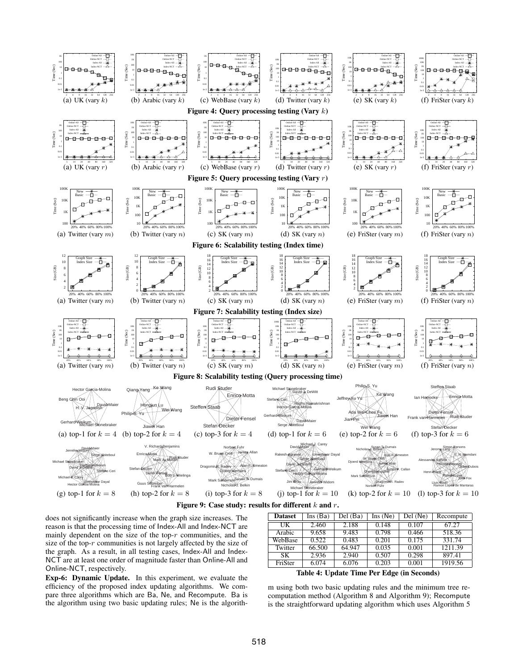

does not significantly increase when the graph size increases. The reason is that the processing time of Index-All and Index-NCT are mainly dependent on the size of the top-*r* communities, and the size of the top-*r* communities is not largely affected by the size of the graph. As a result, in all testing cases, Index-All and Index-NCT are at least one order of magnitude faster than Online-All and Online-NCT, respectively.

Exp-6: Dynamic Update. In this experiment, we evaluate the efficiency of the proposed index updating algorithms. We compare three algorithms which are Ba, Ne, and Recompute. Ba is the algorithm using two basic updating rules; Ne is the algorith-

| <b>Dataset</b>                                                                                                                                                                                                                                                                                     | Ins(Ba) | Del (Ba) | Ins(Ne) | Del (Ne) | Recompute |  |
|----------------------------------------------------------------------------------------------------------------------------------------------------------------------------------------------------------------------------------------------------------------------------------------------------|---------|----------|---------|----------|-----------|--|
| UK                                                                                                                                                                                                                                                                                                 | 2.460   | 2.188    | 0.148   | 0.107    | 67.27     |  |
| Arabic                                                                                                                                                                                                                                                                                             | 9.658   | 9.483    | 0.798   | 0.466    | 518.36    |  |
| WebBase                                                                                                                                                                                                                                                                                            | 0.522   | 0.483    | 0.201   | 0.175    | 331.74    |  |
| Twitter                                                                                                                                                                                                                                                                                            | 66.500  | 64.947   | 0.035   | 0.001    | 1211.39   |  |
| SK.                                                                                                                                                                                                                                                                                                | 2.936   | 2.940    | 0.507   | 0.298    | 897.41    |  |
| FriSter                                                                                                                                                                                                                                                                                            | 6.074   | 6.076    | 0.203   | 0.001    | 1919.56   |  |
| $\mathbf{m}$ is a finite $\mathbf{m}$ for $\mathbf{m}$ and $\mathbf{m}$ and $\mathbf{m}$ and $\mathbf{m}$ and $\mathbf{m}$ and $\mathbf{m}$ and $\mathbf{m}$ and $\mathbf{m}$ and $\mathbf{m}$ and $\mathbf{m}$ and $\mathbf{m}$ and $\mathbf{m}$ and $\mathbf{m}$ and $\mathbf{m}$ and $\mathbf{$ |         |          |         |          |           |  |

Table 4: Update Time Per Edge (in Seconds)

m using both two basic updating rules and the minimum tree recomputation method (Algorithm 8 and Algorithm 9); Recompute is the straightforward updating algorithm which uses Algorithm 5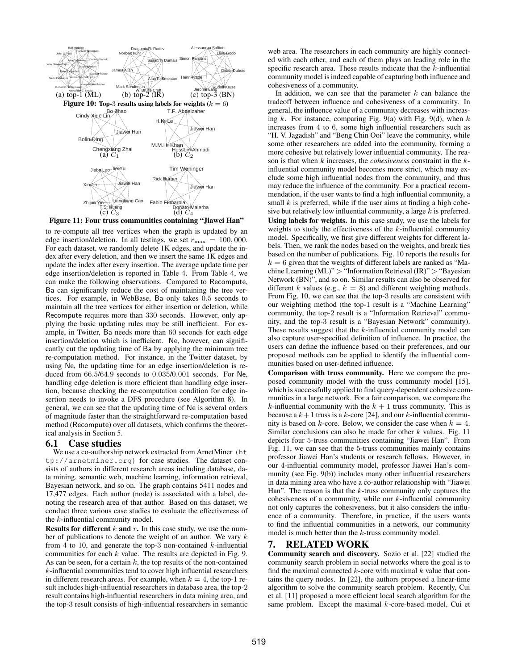

Figure 11: Four truss communities containing "Jiawei Han"

to re-compute all tree vertices when the graph is updated by an edge insertion/deletion. In all testings, we set  $r_{\text{max}} = 100,000$ . For each dataset, we randomly delete 1K edges, and update the index after every deletion, and then we insert the same 1K edges and update the index after every insertion. The average update time per edge insertion/deletion is reported in Table 4. From Table 4, we can make the following observations. Compared to Recompute, Ba can significantly reduce the cost of maintaining the tree vertices. For example, in WebBase, Ba only takes 0*.*5 seconds to maintain all the tree vertices for either insertion or deletion, while Recompute requires more than 330 seconds. However, only applying the basic updating rules may be still inefficient. For example, in Twitter, Ba needs more than 60 seconds for each edge insertion/deletion which is inefficient. Ne, however, can significantly cut the updating time of Ba by applying the minimum tree re-computation method. For instance, in the Twitter dataset, by using Ne, the updating time for an edge insertion/deletion is reduced from 66*.*5/64*.*9 seconds to 0*.*035/0*.*001 seconds. For Ne, handling edge deletion is more efficient than handling edge insertion, because checking the re-computation condition for edge insertion needs to invoke a DFS procedure (see Algorithm 8). In general, we can see that the updating time of Ne is several orders of magnitude faster than the straightforward re-computation based method (Recompute) over all datasets, which confirms the theoretical analysis in Section 5.

#### 6.1 Case studies

We use a co-authorship network extracted from ArnetMiner (ht tp://arnetminer.org) for case studies. The dataset consists of authors in different research areas including database, data mining, semantic web, machine learning, information retrieval, Bayesian network, and so on. The graph contains 5411 nodes and 17,477 edges. Each author (node) is associated with a label, denoting the research area of that author. Based on this dataset, we conduct three various case studies to evaluate the effectiveness of the *k*-influential community model.

Results for different *k* and *r*. In this case study, we use the number of publications to denote the weight of an author. We vary *k* from 4 to 10, and generate the top-3 non-contained *k*-influential communities for each *k* value. The results are depicted in Fig. 9. As can be seen, for a certain *k*, the top results of the non-contained *k*-influential communities tend to cover high influential researchers in different research areas. For example, when  $k = 4$ , the top-1 result includes high-influential researchers in database area, the top-2 result contains high-influential researchers in data mining area, and the top-3 result consists of high-influential researchers in semantic web area. The researchers in each community are highly connected with each other, and each of them plays an leading role in the specific research area. These results indicate that the *k*-influential community model is indeed capable of capturing both influence and cohesiveness of a community.

In addition, we can see that the parameter *k* can balance the tradeoff between influence and cohesiveness of a community. In general, the influence value of a community decreases with increasing *k*. For instance, comparing Fig. 9(a) with Fig. 9(d), when *k* increases from 4 to 6, some high influential researchers such as "H. V. Jagadish" and "Beng Chin Ooi" leave the community, while some other researchers are added into the community, forming a more cohesive but relatively lower influential community. The reason is that when *k* increases, the *cohesiveness* constraint in the *k*influential community model becomes more strict, which may exclude some high influential nodes from the community, and thus may reduce the influence of the community. For a practical recommendation, if the user wants to find a high influential community, a small *k* is preferred, while if the user aims at finding a high cohesive but relatively low influential community, a large *k* is preferred. Using labels for weights. In this case study, we use the labels for weights to study the effectiveness of the *k*-influential community model. Specifically, we first give different weights for different labels. Then, we rank the nodes based on the weights, and break ties based on the number of publications. Fig. 10 reports the results for  $k = 6$  given that the weights of different labels are ranked as "Machine Learning (ML)" *>* "Information Retrieval (IR)" *>* "Bayesian Network (BN)", and so on. Similar results can also be observed for different *k* values (e.g.,  $k = 8$ ) and different weighting methods. From Fig. 10, we can see that the top-3 results are consistent with our weighting method (the top-1 result is a "Machine Learning" community, the top-2 result is a "Information Retrieval" community, and the top-3 result is a "Bayesian Network" community). These results suggest that the *k*-influential community model can also capture user-specified definition of influence. In practice, the users can define the influence based on their preferences, and our proposed methods can be applied to identify the influential communities based on user-defined influence.

Comparison with truss community. Here we compare the proposed community model with the truss community model [15], which is successfully applied to find query-dependent cohesive communities in a large network. For a fair comparison, we compare the *k*-influential community with the  $k + 1$  truss community. This is because a  $k+1$  truss is a  $k$ -core [24], and our  $k$ -influential community is based on  $k$ -core. Below, we consider the case when  $k = 4$ . Similar conclusions can also be made for other *k* values. Fig. 11 depicts four 5-truss communities containing "Jiawei Han". From Fig. 11, we can see that the 5-truss communities mainly contains professor Jiawei Han's students or research fellows. However, in our 4-influential community model, professor Jiawei Han's community (see Fig. 9(b)) includes many other influential researchers in data mining area who have a co-author relationship with "Jiawei Han". The reason is that the *k*-truss community only captures the cohesiveness of a community, while our *k*-influential community not only captures the cohesiveness, but it also considers the influence of a community. Therefore, in practice, if the users wants to find the influential communities in a network, our community model is much better than the *k*-truss community model.

### 7. RELATED WORK

Community search and discovery. Sozio et al. [22] studied the community search problem in social networks where the goal is to find the maximal connected *k*-core with maximal *k* value that contains the query nodes. In [22], the authors proposed a linear-time algorithm to solve the community search problem. Recently, Cui et al. [11] proposed a more efficient local search algorithm for the same problem. Except the maximal *k*-core-based model, Cui et